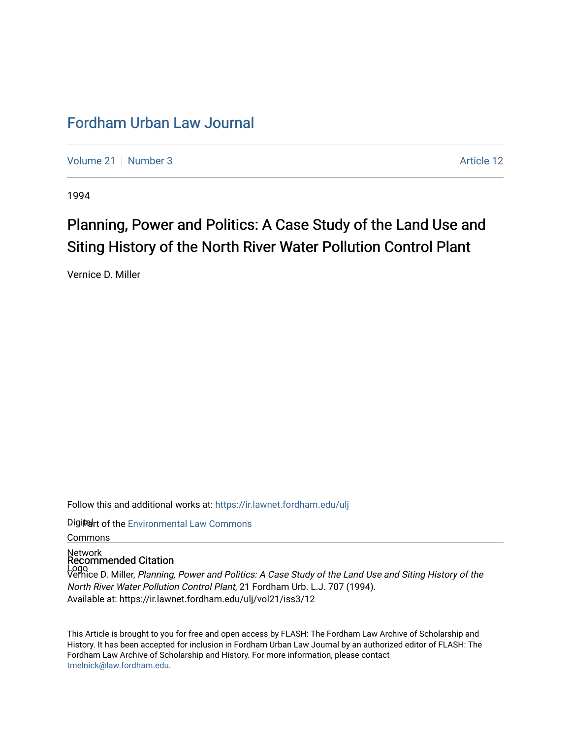### [Fordham Urban Law Journal](https://ir.lawnet.fordham.edu/ulj)

[Volume 21](https://ir.lawnet.fordham.edu/ulj/vol21) | [Number 3](https://ir.lawnet.fordham.edu/ulj/vol21/iss3) Article 12

1994

# Planning, Power and Politics: A Case Study of the Land Use and Siting History of the North River Water Pollution Control Plant

Vernice D. Miller

Follow this and additional works at: [https://ir.lawnet.fordham.edu/ulj](https://ir.lawnet.fordham.edu/ulj?utm_source=ir.lawnet.fordham.edu%2Fulj%2Fvol21%2Fiss3%2F12&utm_medium=PDF&utm_campaign=PDFCoverPages) 

Digiter of the [Environmental Law Commons](http://network.bepress.com/hgg/discipline/599?utm_source=ir.lawnet.fordham.edu%2Fulj%2Fvol21%2Fiss3%2F12&utm_medium=PDF&utm_campaign=PDFCoverPages)

Commons

## Network Recommended Citation

Logo Vernice D. Miller, Planning, Power and Politics: A Case Study of the Land Use and Siting History of the North River Water Pollution Control Plant, 21 Fordham Urb. L.J. 707 (1994). Available at: https://ir.lawnet.fordham.edu/ulj/vol21/iss3/12

This Article is brought to you for free and open access by FLASH: The Fordham Law Archive of Scholarship and History. It has been accepted for inclusion in Fordham Urban Law Journal by an authorized editor of FLASH: The Fordham Law Archive of Scholarship and History. For more information, please contact [tmelnick@law.fordham.edu](mailto:tmelnick@law.fordham.edu).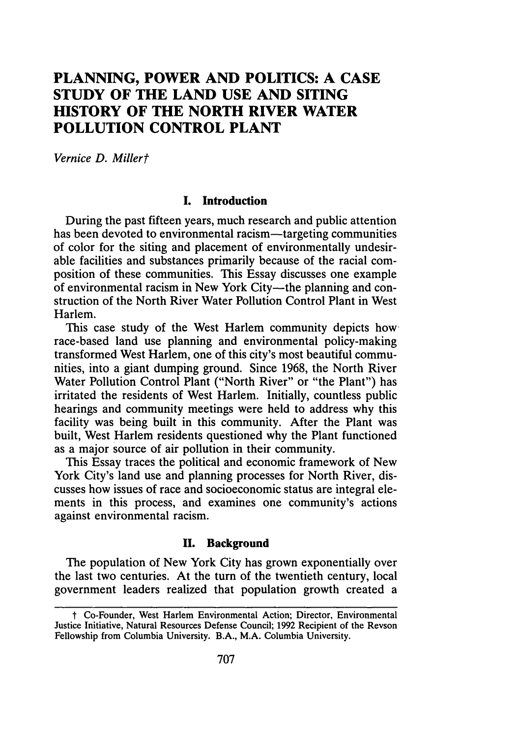### **PLANNING, POWER AND POLITICS: A CASE STUDY OF THE LAND USE AND SITING HISTORY OF THE NORTH RIVER WATER POLLUTION CONTROL PLANT**

*Vernice D. Millert*

#### **I. Introduction**

**During** the past fifteen years, much research and public attention has been devoted to environmental racism—targeting communities of color for the siting and placement of environmentally undesirable facilities and substances primarily because of the racial composition of these communities. This Essay discusses one example of environmental racism in New York City-the planning and construction of the North River Water Pollution Control Plant in West Harlem.

This case study of the West Harlem community depicts how race-based land use planning and environmental policy-making transformed West Harlem, one of this city's most beautiful communities, into a giant dumping ground. Since **1968,** the North River Water Pollution Control Plant ("North River" or "the Plant") has irritated the residents of West Harlem. Initially, countless public hearings and community meetings were held to address why this facility was being built in this community. After the Plant was built, West Harlem residents questioned why the Plant functioned as a major source of air pollution in their community.

This Essay traces the political and economic framework of New York City's land use and planning processes for North River, discusses how issues of race and socioeconomic status are integral elements in this process, and examines one community's actions against environmental racism.

#### **U. Background**

The population of New York City has grown exponentially over the last two centuries. At the turn of the twentieth century, local government leaders realized that population growth created a

t Co-Founder, West Harlem Environmental Action; Director, Environmental Justice Initiative, Natural Resources Defense Council; **1992** Recipient of the Revson Fellowship from Columbia University. B.A., M.A. Columbia University.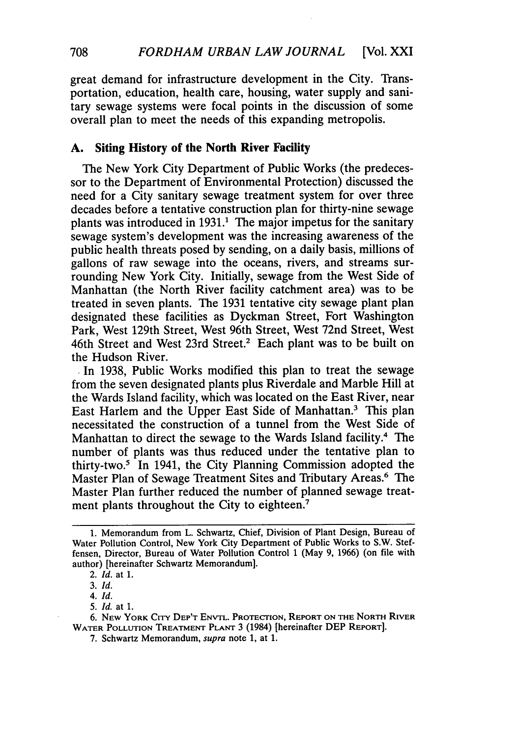great demand for infrastructure development in the City. Transportation, education, health care, housing, water supply and sanitary sewage systems were focal points in the discussion of some overall plan to meet the needs of this expanding metropolis.

#### **A. Siting History of the North River Facility**

The New York City Department of Public Works (the predecessor to the Department of Environmental Protection) discussed the need for a City sanitary sewage treatment system for over three decades before a tentative construction plan for thirty-nine sewage plants was introduced in  $1931<sup>1</sup>$ . The major impetus for the sanitary sewage system's development was the increasing awareness of the public health threats posed by sending, on a daily basis, millions of gallons of raw sewage into the oceans, rivers, and streams surrounding New York City. Initially, sewage from the West Side of Manhattan (the North River facility catchment area) was to be treated in seven plants. The 1931 tentative city sewage plant plan designated these facilities as Dyckman Street, Fort Washington Park, West 129th Street, West 96th Street, West 72nd Street, West 46th Street and West 23rd Street.2 Each plant was to be built on the Hudson River.

**.**In 1938, Public Works modified this plan to treat the sewage from the seven designated plants plus Riverdale and Marble Hill at the Wards Island facility, which was located on the East River, near East Harlem and the Upper East Side of Manhattan.<sup>3</sup> This plan necessitated the construction of a tunnel from the West Side of Manhattan to direct the sewage to the Wards Island facility.<sup>4</sup> The number of plants was thus reduced under the tentative plan to thirty-two.5 In 1941, the City Planning Commission adopted the Master Plan of Sewage Treatment Sites and Tributary Areas.6 The Master Plan further reduced the number of planned sewage treatment plants throughout the City to eighteen.<sup>7</sup>

<sup>1.</sup> Memorandum from L. Schwartz, Chief, Division of Plant Design, Bureau of Water Pollution Control, New York City Department of Public Works to S.W. Steffensen, Director, Bureau of Water Pollution Control 1 (May 9, 1966) (on file with author) [hereinafter Schwartz Memorandum].

<sup>2.</sup> *Id.* at 1.

*<sup>3.</sup> Id.*

<sup>5.</sup> *Id.* at 1.

<sup>6.</sup> **NEW** YORK CITY DEP'T **ENVTL.** PROTECTION, REPORT **ON** THE NORTH RIVER WATER **POLLUTION** TREATMENT **PLANT** 3 (1984) [hereinafter **DEP REPORT].**

<sup>7.</sup> Schwartz Memorandum, supra note 1, at 1.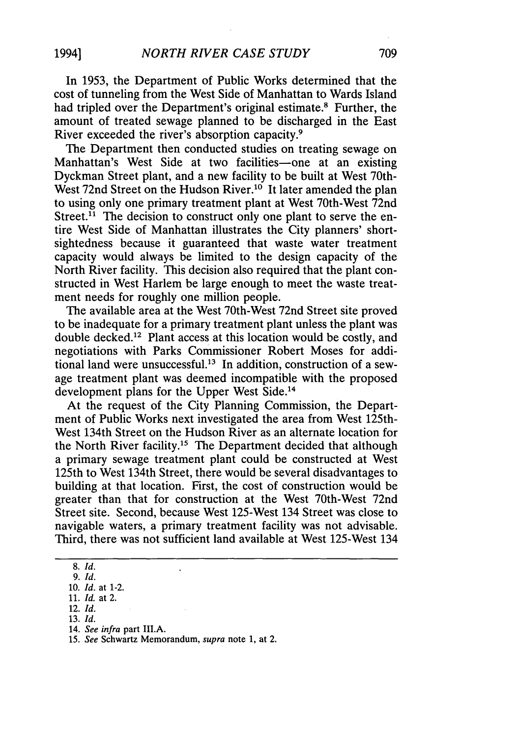In 1953, the Department of Public Works determined that the cost of tunneling from the West Side of Manhattan to Wards Island had tripled over the Department's original estimate.<sup>8</sup> Further, the amount of treated sewage planned to be discharged in the East River exceeded the river's absorption capacity.<sup>9</sup>

The Department then conducted studies on treating sewage on Manhattan's West Side at two facilities-one at an existing Dyckman Street plant, and a new facility to be built at West 70th-West 72nd Street on the Hudson River.<sup>10</sup> It later amended the plan to using only one primary treatment plant at West 70th-West 72nd Street.<sup>11</sup> The decision to construct only one plant to serve the entire West Side of Manhattan illustrates the City planners' shortsightedness because it guaranteed that waste water treatment capacity would always be limited to the design capacity of the North River facility. This decision also required that the plant constructed in West Harlem be large enough to meet the waste treatment needs for roughly one million people.

The available area at the West 70th-West 72nd Street site proved to be inadequate for a primary treatment plant unless the plant was double decked.<sup>12</sup> Plant access at this location would be costly, and negotiations with Parks Commissioner Robert Moses for additional land were unsuccessful.<sup>13</sup> In addition, construction of a sewage treatment plant was deemed incompatible with the proposed development plans for the Upper West Side.<sup>14</sup>

At the request of the City Planning Commission, the Department of Public Works next investigated the area from West 125th-West 134th Street on the Hudson River as an alternate location for the North River facility.<sup>15</sup> The Department decided that although a primary sewage treatment plant could be constructed at West 125th to West 134th Street, there would be several disadvantages to building at that location. First, the cost of construction would be greater than that for construction at the West 70th-West 72nd Street site. Second, because West 125-West 134 Street was close to navigable waters, a primary treatment facility was not advisable. Third, there was not sufficient land available at West 125-West 134

<sup>8.</sup> *Id.*

*<sup>9.</sup> Id.* 10. *Id.* at 1-2.

<sup>11.</sup> *Id.* at 2.

<sup>12.</sup> *Id.*

<sup>14.</sup> *See infra* part III.A.

<sup>15.</sup> *See* Schwartz Memorandum, *supra* note 1, at 2.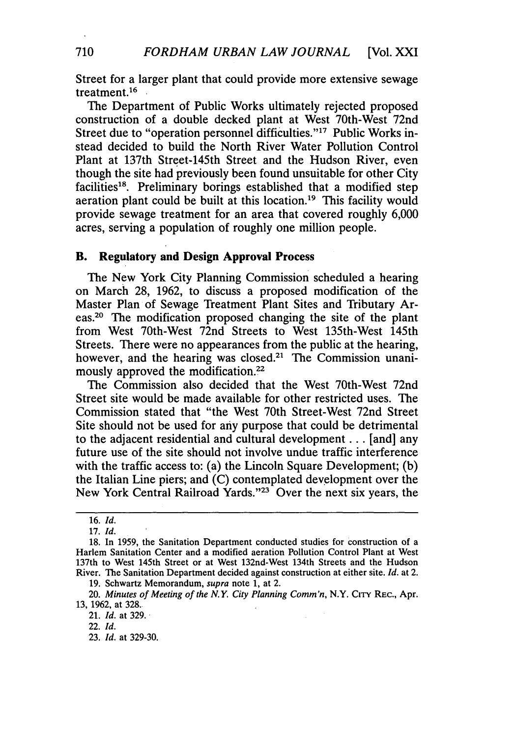Street for a larger plant that could provide more extensive sewage treatment. <sup>16</sup>

The Department of Public Works ultimately rejected proposed construction of a double decked plant at West 70th-West 72nd Street due to "operation personnel difficulties."<sup>17</sup> Public Works instead decided to build the North River Water Pollution Control Plant at 137th Street-145th Street and the Hudson River, even though the site had previously been found unsuitable for other City facilities<sup>18</sup>. Preliminary borings established that a modified step aeration plant could be built at this location.<sup>19</sup> This facility would provide sewage treatment for an area that covered roughly 6,000 acres, serving a population of roughly one million people.

#### B. **Regulatory and Design Approval Process**

The New York City Planning Commission scheduled a hearing on March 28, 1962, to discuss a proposed modification of the Master Plan of Sewage Treatment Plant Sites and Tributary Areas.20 The modification proposed changing the site of the plant from West 70th-West 72nd Streets to West 135th-West 145th Streets. There were no appearances from the public at the hearing, however, and the hearing was closed.<sup>21</sup> The Commission unanimously approved the modification.<sup>22</sup>

The Commission also decided that the West 70th-West 72nd Street site would be made available for other restricted uses. The Commission stated that "the West 70th Street-West 72nd Street Site should not be used for any purpose that could be detrimental to the adjacent residential and cultural development ... [and] any future use of the site should not involve undue traffic interference with the traffic access to: (a) the Lincoln Square Development; (b) the Italian Line piers; and (C) contemplated development over the New York Central Railroad Yards."<sup>23</sup> Over the next six years, the

19. Schwartz Memorandum, supra note 1, at 2.

21. *Id.* at 329.

<sup>16.</sup> *Id.*

<sup>17.</sup> *Id.*

<sup>18.</sup> In 1959, the Sanitation Department conducted studies for construction of a Harlem Sanitation Center and a modified aeration Pollution Control Plant at West 137th to West 145th Street or at West 132nd-West 134th Streets and the Hudson River. The Sanitation Department decided against construction at either site. *Id.* at 2.

<sup>20.</sup> *Minutes of Meeting of the N.Y City Planning Comm'n,* N.Y. CiTY REC., Apr. 13, 1962, at 328.

<sup>22.</sup> *Id.*

<sup>23.</sup> *Id.* at 329-30.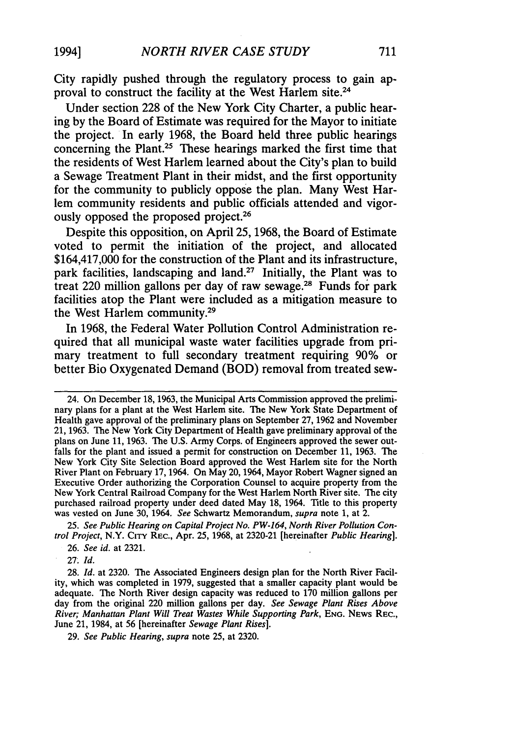City rapidly pushed through the regulatory process to gain approval to construct the facility at the West Harlem site.24

Under section **228** of the New York City Charter, a public hearing **by** the Board of Estimate was required for the Mayor to initiate the project. In early **1968,** the Board held three public hearings concerning the Plant.25 These hearings marked the first time that the residents of West Harlem learned about the City's plan to build a Sewage Treatment Plant in their midst, and the first opportunity for the community to publicly oppose the plan. Many West Harlem community residents and public officials attended and vigorously opposed the proposed project.<sup>26</sup>

Despite this opposition, on April **25, 1968,** the Board of Estimate voted to permit the initiation of the project, and allocated \$164,417,000 for the construction of the Plant and its infrastructure, park facilities, landscaping and land.27 Initially, the Plant was to treat 220 million gallons per day of raw sewage.28 Funds for park facilities atop the Plant were included as a mitigation measure to the West Harlem community.29

In **1968,** the Federal Water Pollution Control Administration required that all municipal waste water facilities upgrade from primary treatment to full secondary treatment requiring **90%** or better Bio Oxygenated Demand (BOD) removal from treated sew-

*25. See Public Hearing on Capital Project No. PW-164, North River Pollution Control Project,* N.Y. **CITY** REC., Apr. 25, 1968, at 2320-21 [hereinafter *Public Hearing].*

26. *See id.* at 2321.

**27.** *Id.*

28. *Id.* at 2320. The Associated Engineers design plan for the North River Facility, which was completed in 1979, suggested that a smaller capacity plant would be adequate. The North River design capacity was reduced to 170 million gallons per day from the original 220 million gallons per day. *See Sewage Plant Rises Above River; Manhattan Plant Will Treat Wastes While Supporting Park,* **ENG.** NEws REC., June 21, 1984, at 56 [hereinafter *Sewage Plant Rises].*

29. *See Public Hearing, supra* note 25, at 2320.

**1994]**

<sup>24.</sup> On December 18, 1963, the Municipal Arts Commission approved the preliminary plans for a plant at the West Harlem site. The New York State Department of Health gave approval of the preliminary plans on September 27, 1962 and November 21, 1963. The New York City Department of Health gave preliminary approval of the plans on June 11, 1963. The U.S. Army Corps. of Engineers approved the sewer outfalls for the plant and issued a permit for construction on December 11, 1963. The New York City Site Selection Board approved the West Harlem site for the North River Plant on February 17, 1964. On May 20, 1964, Mayor Robert Wagner signed an Executive Order authorizing the Corporation Counsel to acquire property from the New York Central Railroad Company for the West Harlem North River site. The city purchased railroad property under deed dated May 18, 1964. Title to this property was vested on June 30, 1964. *See* Schwartz Memorandum, *supra* note 1, at 2.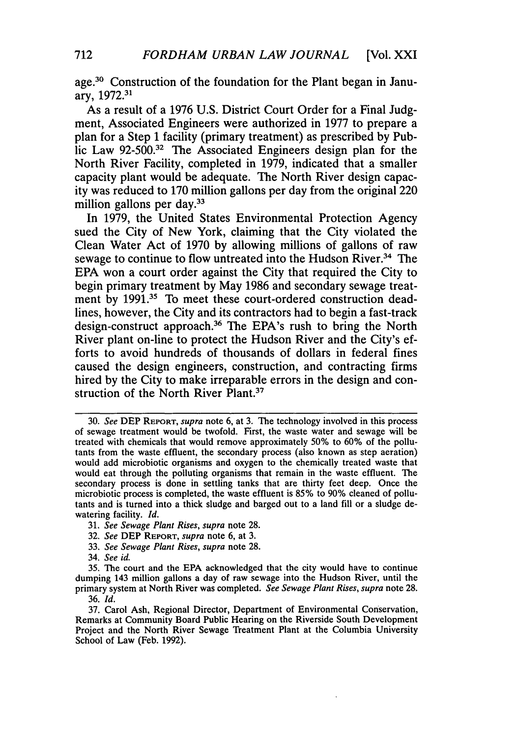age.<sup>30</sup> Construction of the foundation for the Plant began in January, **1972.31**

As a result of a **1976 U.S.** District Court Order for a Final Judgment, Associated Engineers were authorized in **1977** to prepare a plan for a Step **1** facility (primary treatment) as prescribed **by** Public Law **92-500.32** The Associated Engineers design plan for the North River Facility, completed in **1979,** indicated that a smaller capacity plant would be adequate. The North River design capacity was reduced to **170** million gallons per day from the original 220 million gallons per day.<sup>33</sup>

In **1979,** the United States Environmental Protection Agency sued the City of New York, claiming that the City violated the Clean Water Act of **1970 by** allowing millions of gallons of raw sewage to continue to flow untreated into the Hudson River.<sup>34</sup> The **EPA** won a court order against the City that required the City to begin primary treatment **by** May **1986** and secondary sewage treatment by 1991.<sup>35</sup> To meet these court-ordered construction deadlines, however, the City and its contractors had to begin a fast-track design-construct approach.36 The EPA's rush to bring the North River plant on-line to protect the Hudson River and the City's efforts to avoid hundreds of thousands of dollars in federal fines caused the design engineers, construction, and contracting firms hired **by** the City to make irreparable errors in the design and construction of the North River Plant.<sup>37</sup>

- 31. *See Sewage Plant Rises, supra* note 28.
- 32. *See* DEP REPORT, *supra* note 6, at 3.
- 33. *See Sewage Plant Rises, supra* note 28.
- 34. *See id.*

<sup>30.</sup> *See* **DEP** REPORT, *supra* note 6, at 3. The technology involved in this process of sewage treatment would be twofold. First, the waste water and sewage will be treated with chemicals that would remove approximately 50% to **60%** of the pollutants from the waste effluent, the secondary process (also known as step aeration) would add microbiotic organisms and oxygen to the chemically treated waste that would eat through the polluting organisms that remain in the waste effluent. The secondary process is done in settling tanks that are thirty feet deep. Once the microbiotic process is completed, the waste effluent is 85% to **90%** cleaned of pollutants and is turned into a thick sludge and barged out to a land fill or a sludge dewatering facility. *Id.*

<sup>35.</sup> The court and the EPA acknowledged that the city would have to continue dumping 143 million gallons a day of raw sewage into the Hudson River, until the primary system at North River was completed. *See Sewage Plant Rises, supra* note 28. 36. *Id.*

<sup>37.</sup> Carol Ash, Regional Director, Department of Environmental Conservation, Remarks at Community Board Public Hearing on the Riverside South Development Project and the North River Sewage Treatment Plant at the Columbia University School of Law (Feb. 1992).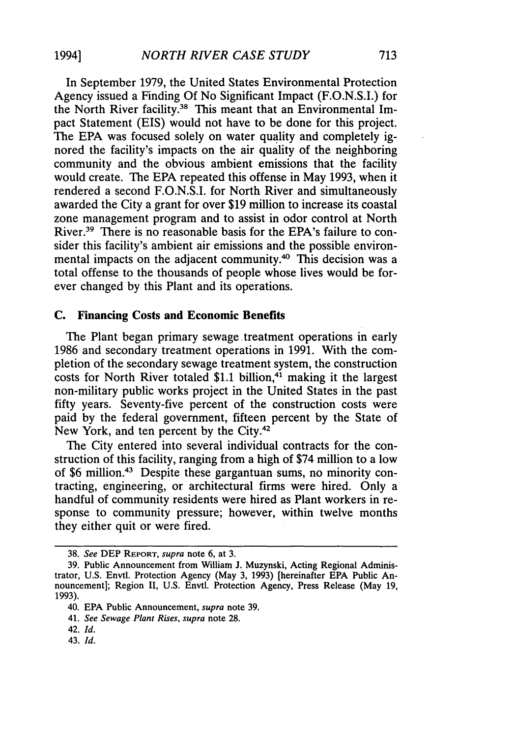In September 1979, the United States Environmental Protection Agency issued a Finding Of No Significant Impact (F.O.N.S.I.) for the North River facility.<sup>38</sup> This meant that an Environmental Impact Statement (EIS) would not have to be done for this project. The EPA was focused solely on water quality and completely ignored the facility's impacts on the air quality of the neighboring community and the obvious ambient emissions that the facility would create. The EPA repeated this offense in May 1993, when it rendered a second F.O.N.S.I. for North River and simultaneously awarded the City a grant for over \$19 million to increase its coastal zone management program and to assist in odor control at North River.39 There is no reasonable basis for the EPA's failure to consider this facility's ambient air emissions and the possible environmental impacts on the adjacent community.<sup>40</sup> This decision was a total offense to the thousands of people whose lives would be forever changed by this Plant and its operations.

#### **C. Financing Costs and Economic Benefits**

The Plant began primary sewage treatment operations in early 1986 and secondary treatment operations in 1991. With the completion of the secondary sewage treatment system, the construction costs for North River totaled  $$1.1$  billion,<sup>41</sup> making it the largest non-military public works project in the United States in the past fifty years. Seventy-five percent of the construction costs were paid by the federal government, fifteen percent by the State of New York, and ten percent by the City.<sup>42</sup>

The City entered into several individual contracts for the construction of this facility, ranging from a high of \$74 million to a low of \$6 million.43 Despite these gargantuan sums, no minority contracting, engineering, or architectural firms were hired. Only a handful of community residents were hired as Plant workers in response to community pressure; however, within twelve months they either quit or were fired.

<sup>38.</sup> *See* **DEP** REPORT, *supra* note 6, at 3.

<sup>39.</sup> Public Announcement from William J. Muzynski, Acting Regional Administrator, U.S. Envtl. Protection Agency (May 3, 1993) [hereinafter EPA Public Announcement]; Region II, U.S. Envtl. Protection Agency, Press Release (May 19, 1993).

<sup>40.</sup> EPA Public Announcement, *supra* note 39.

<sup>41.</sup> *See Sewage Plant Rises, supra* note 28.

<sup>42.</sup> *Id.*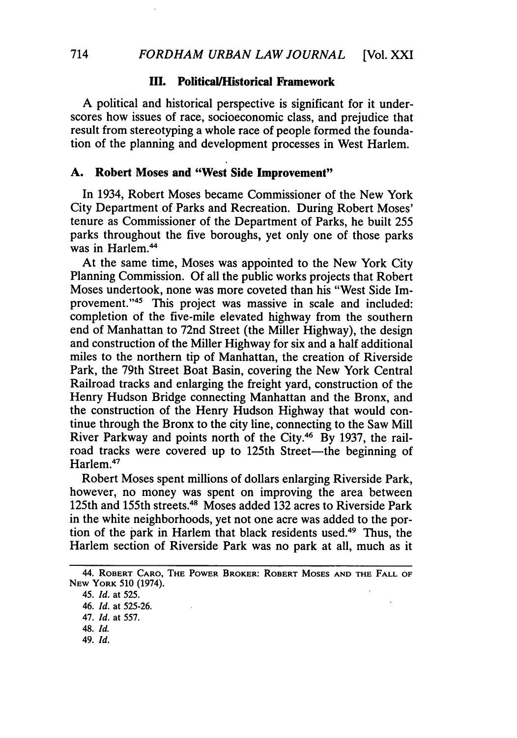#### **III. PoliticalHistorical Framework**

**A** political and historical perspective is significant for it underscores how issues of race, socioeconomic class, and prejudice that result from stereotyping a whole race of people formed the foundation of the planning and development processes in West Harlem.

#### **A.** Robert Moses **and "West Side Improvement"**

In 1934, Robert Moses became Commissioner of the New York City Department of Parks and Recreation. During Robert Moses' tenure as Commissioner of the Department of Parks, he built 255 parks throughout the five boroughs, yet only one of those parks was in Harlem.<sup>44</sup>

At the same time, Moses was appointed to the New York City Planning Commission. Of all the public works projects that Robert Moses undertook, none was more coveted than his "West Side Improvement."<sup>45</sup> This project was massive in scale and included: completion of the five-mile elevated highway from the southern end of Manhattan to 72nd Street (the Miller Highway), the design and construction of the Miller Highway for six and a half additional miles to the northern tip of Manhattan, the creation of Riverside Park, the 79th Street Boat Basin, covering the New York Central Railroad tracks and enlarging the freight yard, construction of the Henry Hudson Bridge connecting Manhattan and the Bronx, and the construction of the Henry Hudson Highway that would continue through the Bronx to the city line, connecting to the Saw Mill River Parkway and points north of the City.46 By 1937, the railroad tracks were covered up to 125th Street-the beginning of Harlem.47

Robert Moses spent millions of dollars enlarging Riverside Park, however, no money was spent on improving the area between 125th and 155th streets.4 Moses added **132** acres to Riverside Park in the white neighborhoods, yet not one acre was added to the portion of the park in Harlem that black residents used.49 Thus, the Harlem section of Riverside Park was no park at all, much as it

<sup>44.</sup> ROBERT **CARO, THE** POWER **BROKER:** ROBERT **MOSES AND THE** FALL OF **NEW** YORK **510** (1974).

<sup>45.</sup> *Id.* at 525.

<sup>46.</sup> *Id.* at 525-26.

<sup>47.</sup> *Id.* at 557.

<sup>48.</sup> *Id.*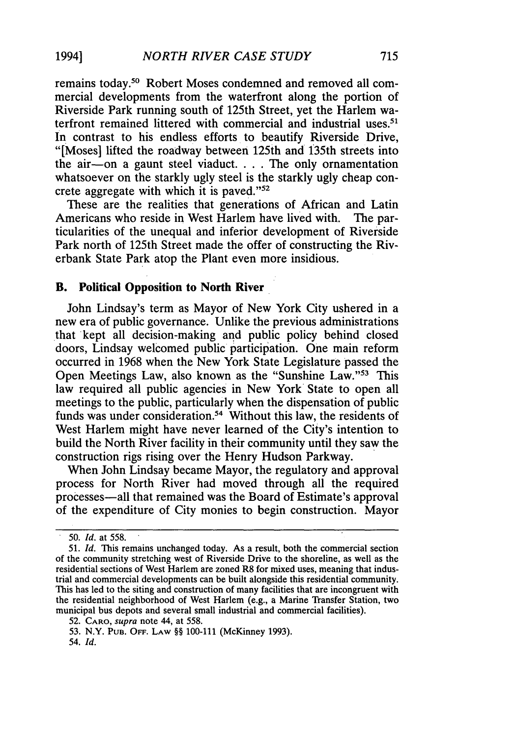remains today.50 Robert Moses condemned and removed all commercial developments from the waterfront along the portion of Riverside Park running south of 125th Street, yet the Harlem waterfront remained littered with commercial and industrial uses.<sup>51</sup> In contrast to his endless efforts to beautify Riverside Drive, "[Moses] lifted the roadway between 125th and 135th streets into the air-on a gaunt steel viaduct. . . . The only ornamentation whatsoever on the starkly ugly steel is the starkly ugly cheap concrete aggregate with which it is paved." $52$ 

These are the realities that generations of African and Latin Americans who reside in West Harlem have lived with. The particularities of the unequal and inferior development of Riverside Park north of 125th Street made the offer of constructing the Riverbank State Park atop the Plant even more insidious.

#### B. **Political Opposition to North River**

John Lindsay's term as Mayor of New York City ushered in a new era of public governance. Unlike the previous administrations that kept all decision-making and public policy behind closed doors, Lindsay welcomed public participation. One main reform occurred in 1968 when the New York State Legislature passed the Open Meetings Law, also known as the "Sunshine Law."<sup>53</sup> This law required all public agencies in New York State to open all meetings to the public, particularly when the dispensation of public funds was under consideration.<sup>54</sup> Without this law, the residents of West Harlem might have never learned of the City's intention to build the North River facility in their community until they saw the construction rigs rising over the Henry Hudson Parkway.

When John Lindsay became Mayor, the regulatory and approval process for North River had moved through all the required processes-all that remained was the Board of Estimate's approval of the expenditure of City monies to begin construction. Mayor

19941

<sup>50.</sup> *Id.* at 558.

<sup>51.</sup> *Id.* This remains unchanged today. As a result, both the commercial section of the community stretching west of Riverside Drive to the shoreline, as well as the residential sections of West Harlem are zoned R8 for mixed uses, meaning that industrial and commercial developments can be built alongside this residential community. This has led to the siting and construction of many facilities that are incongruent with the residential neighborhood of West Harlem (e.g., a Marine Transfer Station, two municipal bus depots and several small industrial and commercial facilities).

<sup>52.</sup> CARO, *supra* note 44, at 558.

<sup>53.</sup> N.Y. PuB. OFF. **LAW §§** 100-111 (McKinney 1993).

<sup>54.</sup> *Id.*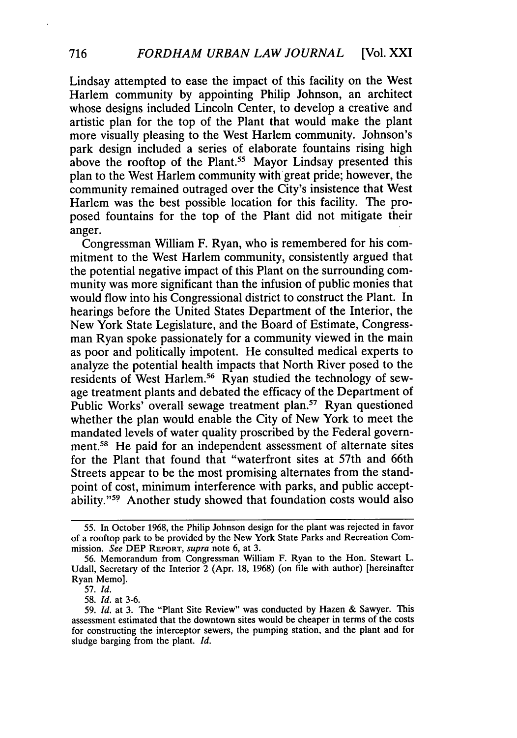Lindsay attempted to ease the impact of this facility on the West Harlem community by appointing Philip Johnson, an architect whose designs included Lincoln Center, to develop a creative and artistic plan for the top of the Plant that would make the plant more visually pleasing to the West Harlem community. Johnson's park design included a series of elaborate fountains rising high above the rooftop of the Plant.<sup>55</sup> Mayor Lindsay presented this plan to the West Harlem community with great pride; however, the community remained outraged over the City's insistence that West Harlem was the best possible location for this facility. The proposed fountains for the top of the Plant did not mitigate their anger.

Congressman William F. Ryan, who is remembered for his commitment to the West Harlem community, consistently argued that the potential negative impact of this Plant on the surrounding community was more significant than the infusion of public monies that would flow into his Congressional district to construct the Plant. In hearings before the United States Department of the Interior, the New York State Legislature, and the Board of Estimate, Congressman Ryan spoke passionately for a community viewed in the main as poor and politically impotent. He consulted medical experts to analyze the potential health impacts that North River posed to the residents of West Harlem.<sup>56</sup> Ryan studied the technology of sewage treatment plants and debated the efficacy of the Department of Public Works' overall sewage treatment plan.<sup>57</sup> Ryan questioned whether the plan would enable the City of New York to meet the mandated levels of water quality proscribed by the Federal government.<sup>58</sup> He paid for an independent assessment of alternate sites for the Plant that found that "waterfront sites at 57th and 66th Streets appear to be the most promising alternates from the standpoint of cost, minimum interference with parks, and public acceptability."<sup>59</sup> Another study showed that foundation costs would also

58. *Id.* at 3-6.

<sup>55.</sup> In October 1968, the Philip Johnson design for the plant was rejected in favor of a rooftop park to be provided by the New York State Parks and Recreation Commission. *See* DEP REPORT, *supra* note 6, at 3.

<sup>56.</sup> Memorandum from Congressman William F. Ryan to the Hon. Stewart L. Udall, Secretary of the Interior 2 (Apr. 18, 1968) (on file with author) [hereinafter Ryan Memo].

<sup>57.</sup> *Id.*

<sup>59.</sup> *Id.* at 3. The "Plant Site Review" was conducted by Hazen & Sawyer. This assessment estimated that the downtown sites would be cheaper in terms of the costs for constructing the interceptor sewers, the pumping station, and the plant and for sludge barging from the plant. *Id.*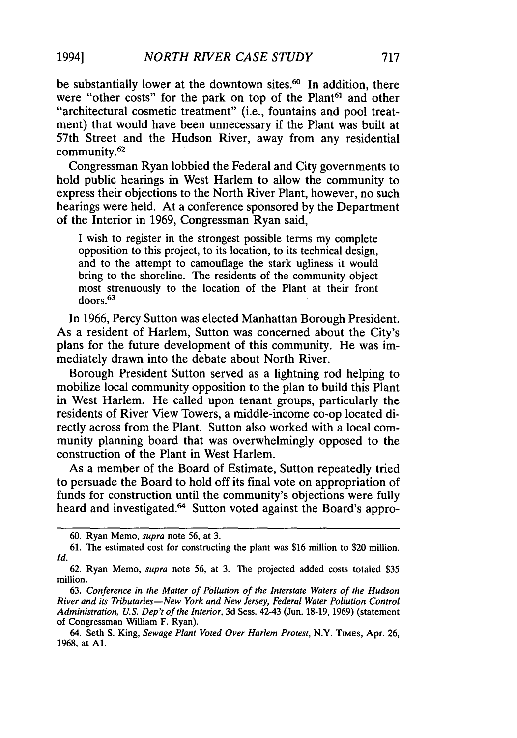be substantially lower at the downtown sites. $60$  In addition, there were "other costs" for the park on top of the Plant<sup>61</sup> and other "architectural cosmetic treatment" (i.e., fountains and pool treatment) that would have been unnecessary if the Plant was built at 57th Street and the Hudson River, away from any residential community.62

Congressman Ryan lobbied the Federal and City governments to hold public hearings in West Harlem to allow the community to express their objections to the North River Plant, however, no such hearings were held. At a conference sponsored by the Department of the Interior in 1969, Congressman Ryan said,

I wish to register in the strongest possible terms my complete opposition to this project, to its location, to its technical design, and to the attempt to camouflage the stark ugliness it would bring to the shoreline. The residents of the community object most strenuously to the location of the Plant at their front doors.63

In 1966, Percy Sutton was elected Manhattan Borough President. As a resident of Harlem, Sutton was concerned about the City's plans for the future development of this community. He was immediately drawn into the debate about North River.

Borough President Sutton served as a lightning rod helping to mobilize local community opposition to the plan to build this Plant in West Harlem. He called upon tenant groups, particularly the residents of River View Towers, a middle-income co-op located directly across from the Plant. Sutton also worked with a local community planning board that was overwhelmingly opposed to the construction of the Plant in West Harlem.

As a member of the Board of Estimate, Sutton repeatedly tried to persuade the Board to hold off its final vote on appropriation of funds for construction until the community's objections were fully heard and investigated.<sup>64</sup> Sutton voted against the Board's appro-

<sup>60.</sup> Ryan Memo, *supra* note 56, at 3.

<sup>61.</sup> The estimated cost for constructing the plant was \$16 million to \$20 million. *Id.*

<sup>62.</sup> Ryan Memo, *supra* note 56, at 3. The projected added costs totaled \$35 million.

<sup>63.</sup> *Conference in the Matter of Pollution of the Interstate Waters of the Hudson River and its Tributaries-New York and New Jersey, Federal Water Pollution Control Administration, U.S. Dep't of the Interior,* 3d Sess. 42-43 (Jun. 18-19, 1969) (statement of Congressman William F. Ryan).

<sup>64.</sup> Seth S. King, *Sewage Plant Voted Over Harlem Protest,* N.Y. TiMES, Apr. 26, 1968, at **Al.**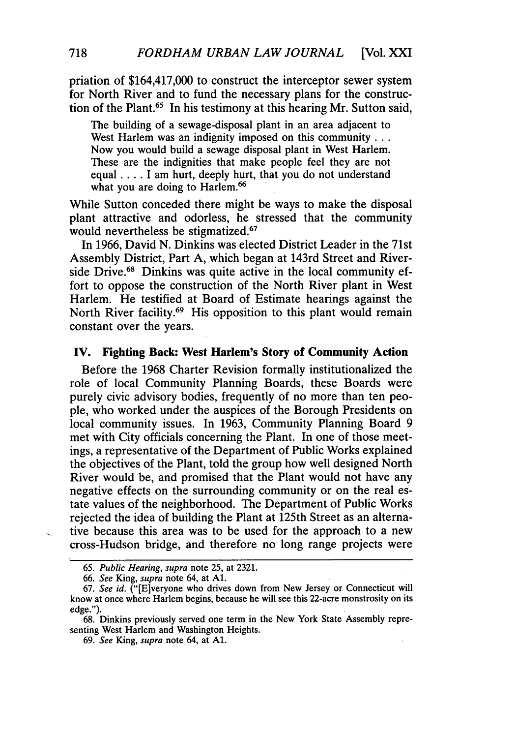priation of \$164,417,000 to construct the interceptor sewer system for North River and to fund the necessary plans for the construction of the Plant.65 In his testimony at this hearing Mr. Sutton said,

The building of a sewage-disposal plant in an area adjacent to West Harlem was an indignity imposed on this community . . . Now you would build a sewage disposal plant in West Harlem. These are the indignities that make people feel they are not equal .... I am hurt, deeply hurt, that you do not understand what you are doing to Harlem.<sup>66</sup>

While Sutton conceded there might be ways to make the disposal plant attractive and odorless, he stressed that the community would nevertheless be stigmatized.<sup>67</sup>

In 1966, David N. Dinkins was elected District Leader in the 71st Assembly District, Part A, which began at 143rd Street and Riverside Drive.<sup>68</sup> Dinkins was quite active in the local community effort to oppose the construction of the North River plant in West Harlem. He testified at Board of Estimate hearings against the North River facility.<sup>69</sup> His opposition to this plant would remain constant over the years.

#### **IV. Fighting Back: West Harlem's Story of Community Action**

Before the **1968** Charter Revision formally institutionalized the role of local Community Planning Boards, these Boards were purely civic advisory bodies, frequently of no more than ten people, who worked under the auspices of the Borough Presidents on local community issues. In 1963, Community Planning Board 9 met with City officials concerning the Plant. In one of those meetings, a representative of the Department of Public Works explained the objectives of the Plant, told the group how well designed North River would be, and promised that the Plant would not have any negative effects on the surrounding community or on the real estate values of the neighborhood. The Department of Public Works rejected the idea of building the Plant at 125th Street as an alternative because this area was to be used for the approach to a new cross-Hudson bridge, and therefore no long range projects were

<sup>65.</sup> *Public Hearing, supra* note 25, at 2321.

*<sup>66.</sup> See* King, *supra* note 64, at **Al.**

<sup>67.</sup> *See id.* ("[E]veryone who drives down from New Jersey or Connecticut will know at once where Harlem begins, because he will see this 22-acre monstrosity on its edge.")

<sup>68.</sup> Dinkins previously served one term in the New York State Assembly representing West Harlem and Washington Heights.

<sup>69.</sup> *See* King, *supra* note 64, at **Al.**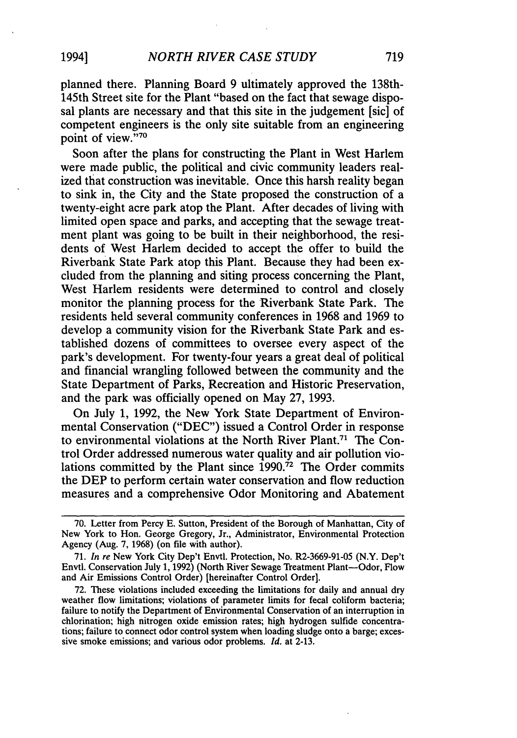planned there. Planning Board 9 ultimately approved the 138th-145th Street site for the Plant "based on the fact that sewage disposal plants are necessary and that this site in the judgement [sic] of competent engineers is the only site suitable from an engineering point of view."70

Soon after the plans for constructing the Plant in West Harlem were made public, the political and civic community leaders realized that construction was inevitable. Once this harsh reality began to sink in, the City and the State proposed the construction of a twenty-eight acre park atop the Plant. After decades of living with limited open space and parks, and accepting that the sewage treatment plant was going to be built in their neighborhood, the residents of West Harlem decided to accept the offer to build the Riverbank State Park atop this Plant. Because they had been excluded from the planning and siting process concerning the Plant, West Harlem residents were determined to control and closely monitor the planning process for the Riverbank State Park. The residents held several community conferences in 1968 and 1969 to develop a community vision for the Riverbank State Park and established dozens of committees to oversee every aspect of the park's development. For twenty-four years a great deal of political and financial wrangling followed between the community and the State Department of Parks, Recreation and Historic Preservation, and the park was officially opened on May **27,** 1993.

On July 1, 1992, the New York State Department of Environmental Conservation ("DEC") issued a Control Order in response to environmental violations at the North River Plant.71 The Control Order addressed numerous water quality and air pollution violations committed **by** the Plant since 1990.72 The Order commits the **DEP** to perform certain water conservation and flow reduction measures and a comprehensive Odor Monitoring and Abatement

**<sup>70.</sup>** Letter from Percy E. Sutton, President of the Borough of Manhattan, City of New York to Hon. George Gregory, Jr., Administrator, Environmental Protection Agency (Aug. **7,** 1968) (on file with author).

**<sup>71.</sup>** *In re* New York City Dep't Envtl. Protection, No. R2-3669-91-05 (N.Y. Dep't Envtl. Conservation July 1, 1992) (North River Sewage Treatment Plant-Odor, Flow and Air Emissions Control Order) [hereinafter Control Order).

<sup>72.</sup> These violations included exceeding the limitations for daily and annual dry weather flow limitations; violations of parameter limits for fecal coliform bacteria; failure to notify the Department of Environmental Conservation of an interruption in chlorination; high nitrogen oxide emission rates; high hydrogen sulfide concentrations; failure to connect odor control system when loading sludge onto a barge; excessive smoke emissions; and various odor problems. *Id.* at **2-13.**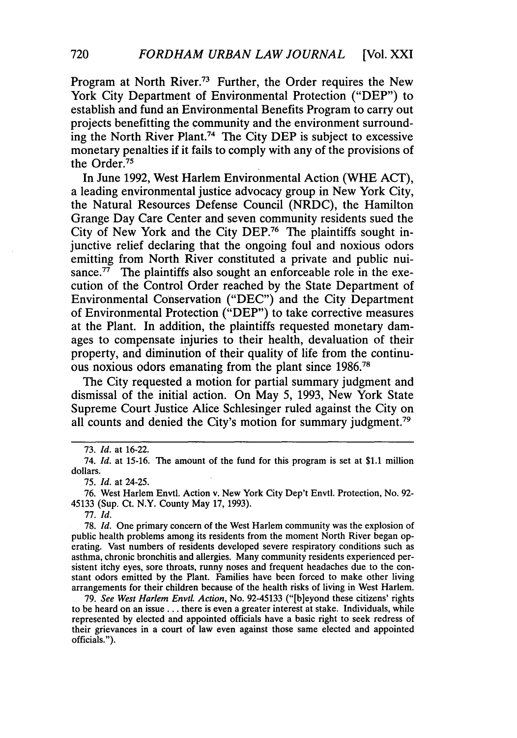Program at North River.73 Further, the Order requires the New York City Department of Environmental Protection ("DEP") to establish and fund an Environmental Benefits Program to carry out projects benefitting the community and the environment surrounding the North River Plant.74 The City DEP is subject to excessive monetary penalties if it fails to comply with any of the provisions of the Order.75

In June 1992, West Harlem Environmental Action (WHE ACT), a leading environmental justice advocacy group in New York City, the Natural Resources Defense Council (NRDC), the Hamilton Grange Day Care Center and seven community residents sued the City of New York and the City DEP.76 The plaintiffs sought injunctive relief declaring that the ongoing foul and noxious odors emitting from North River constituted a private and public nuisance.<sup> $77$ </sup> The plaintiffs also sought an enforceable role in the execution of the Control Order reached by the State Department of Environmental Conservation ("DEC") and the City Department of Environmental Protection ("DEP") to take corrective measures at the Plant. In addition, the plaintiffs requested monetary damages to compensate injuries to their health, devaluation of their property, and diminution of their quality of life from the continuous noxious odors emanating from the plant since 1986.<sup>78</sup>

The City requested a motion for partial summary judgment and dismissal of the initial action. On May 5, 1993, New York State Supreme Court Justice Alice Schlesinger ruled against the City on all counts and denied the City's motion for summary judgment.<sup>79</sup>

77. *Id.*

78. *Id.* One primary concern of the West Harlem community was the explosion of public health problems among its residents from the moment North River began operating. Vast numbers of residents developed severe respiratory conditions such as asthma, chronic bronchitis and allergies. Many community residents experienced persistent itchy eyes, sore throats, runny noses and frequent headaches due to the constant odors emitted by the Plant. Families have been forced to make other living arrangements for their children because of the health risks of living in West Harlem.

79. *See West Harlem Envtl. Action,* No. 92-45133 ("[b]eyond these citizens' rights to be heard on an issue **...** there is even a greater interest at stake. Individuals, while represented by elected and appointed officials have a basic right to seek redress of their grievances in a court of law even against those same elected and appointed officials.").

<sup>73.</sup> *Id.* at 16-22.

<sup>74.</sup> *Id.* at 15-16. The amount of the fund for this program is set at \$1.1 million dollars.

<sup>75.</sup> *Id.* at 24-25.

<sup>76.</sup> West Harlem Envtl. Action v. New York City Dep't Envtl. Protection, No. 92- 45133 (Sup. Ct. N.Y. County May 17, 1993).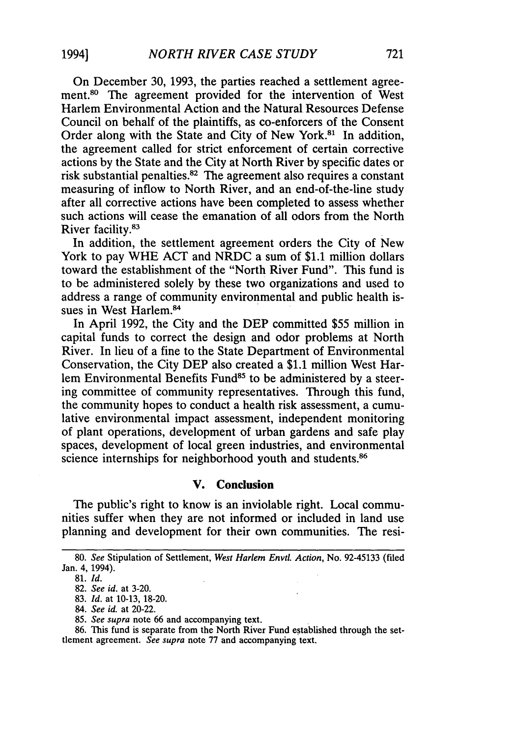On December 30, 1993, the parties reached a settlement agreement.<sup>80</sup> The agreement provided for the intervention of West Harlem Environmental Action and the Natural Resources Defense Council on behalf of the plaintiffs, as co-enforcers of the Consent Order along with the State and City of New York.<sup>81</sup> In addition, the agreement called for strict enforcement of certain corrective actions by the State and the City at North River by specific dates or risk substantial penalties.82 The agreement also requires a constant measuring of inflow to North River, and an end-of-the-line study after all corrective actions have been completed to assess whether such actions will cease the emanation of all odors from the North River facility.83

In addition, the settlement agreement orders the City of New York to pay WHE ACT and NRDC a sum of \$1.1 million dollars toward the establishment of the "North River Fund". This fund is to be administered solely by these two organizations and used to address a range of community environmental and public health issues in West Harlem.84

In April 1992, the City and the DEP committed \$55 million in capital funds to correct the design and odor problems at North River. In lieu of a fine to the State Department of Environmental Conservation, the City DEP also created a \$1.1 million West Harlem Environmental Benefits Fund<sup>85</sup> to be administered by a steering committee of community representatives. Through this fund, the community hopes to conduct a health risk assessment, a cumulative environmental impact assessment, independent monitoring of plant operations, development of urban gardens and safe play spaces, development of local green industries, and environmental science internships for neighborhood youth and students.<sup>86</sup>

#### **V. Conclusion**

The public's right to know is an inviolable right. Local communities suffer when they are not informed or included in land use planning and development for their own communities. The resi-

<sup>80.</sup> *See* Stipulation of Settlement, *West Harlem Envtl. Action,* No. 92-45133 (filed Jan. 4, 1994).

**<sup>81.</sup>** *Id.*

<sup>82.</sup> *See id.* at 3-20.

<sup>83.</sup> *Id.* at 10-13, 18-20.

<sup>84.</sup> *See id.* at 20-22.

<sup>85.</sup> *See supra* note 66 and accompanying text.

<sup>86.</sup> This fund is separate from the North River Fund established through the settlement agreement. *See supra* note 77 and accompanying text.